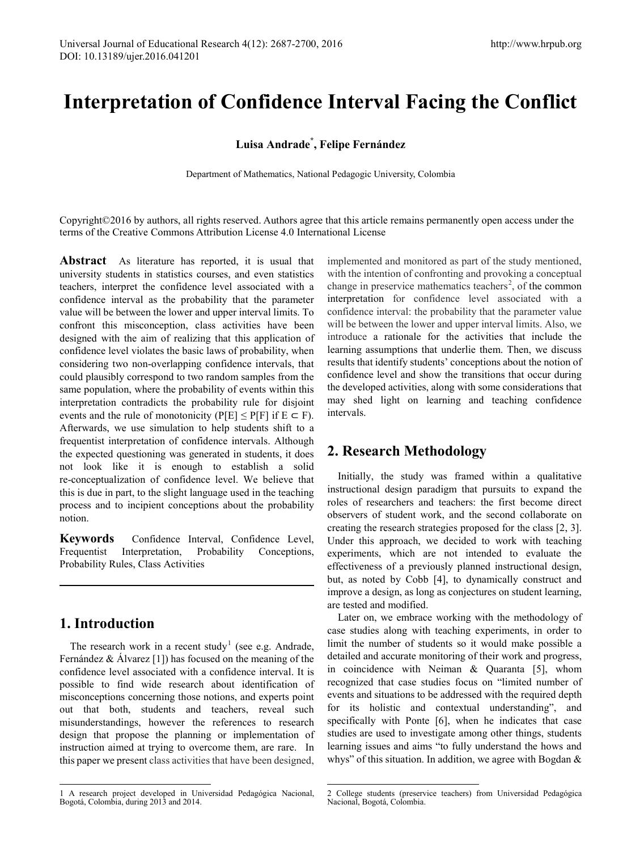# **Interpretation of Confidence Interval Facing the Conflict**

## **Luisa Andrade\* , Felipe Fernández**

Department of Mathematics, National Pedagogic University, Colombia

Copyright©2016 by authors, all rights reserved. Authors agree that this article remains permanently open access under the terms of the Creative Commons Attribution License 4.0 International License

**Abstract** As literature has reported, it is usual that university students in statistics courses, and even statistics teachers, interpret the confidence level associated with a confidence interval as the probability that the parameter value will be between the lower and upper interval limits. To confront this misconception, class activities have been designed with the aim of realizing that this application of confidence level violates the basic laws of probability, when considering two non-overlapping confidence intervals, that could plausibly correspond to two random samples from the same population, where the probability of events within this interpretation contradicts the probability rule for disjoint events and the rule of monotonicity (P[E]  $\leq$  P[F] if E  $\subset$  F). Afterwards, we use simulation to help students shift to a frequentist interpretation of confidence intervals. Although the expected questioning was generated in students, it does not look like it is enough to establish a solid re-conceptualization of confidence level. We believe that this is due in part, to the slight language used in the teaching process and to incipient conceptions about the probability notion.

**Keywords** Confidence Interval, Confidence Level, Frequentist Interpretation, Probability Conceptions, Probability Rules, Class Activities

# **1. Introduction**

The research work in a recent study<sup>[1](#page-0-0)</sup> (see e.g. Andrade, Fernández & Álvarez [1]) has focused on the meaning of the confidence level associated with a confidence interval. It is possible to find wide research about identification of misconceptions concerning those notions, and experts point out that both, students and teachers, reveal such misunderstandings, however the references to research design that propose the planning or implementation of instruction aimed at trying to overcome them, are rare. In this paper we present class activities that have been designed,

implemented and monitored as part of the study mentioned, with the intention of confronting and provoking a conceptual change in preservice mathematics teachers<sup>[2](#page-0-0)</sup>, of the common interpretation for confidence level associated with a confidence interval: the probability that the parameter value will be between the lower and upper interval limits. Also, we introduce a rationale for the activities that include the learning assumptions that underlie them. Then, we discuss results that identify students' conceptions about the notion of confidence level and show the transitions that occur during the developed activities, along with some considerations that may shed light on learning and teaching confidence intervals.

# **2. Research Methodology**

Initially, the study was framed within a qualitative instructional design paradigm that pursuits to expand the roles of researchers and teachers: the first become direct observers of student work, and the second collaborate on creating the research strategies proposed for the class [2, 3]. Under this approach, we decided to work with teaching experiments, which are not intended to evaluate the effectiveness of a previously planned instructional design, but, as noted by Cobb [4], to dynamically construct and improve a design, as long as conjectures on student learning, are tested and modified.

Later on, we embrace working with the methodology of case studies along with teaching experiments, in order to limit the number of students so it would make possible a detailed and accurate monitoring of their work and progress, in coincidence with Neiman & Quaranta [5], whom recognized that case studies focus on "limited number of events and situations to be addressed with the required depth for its holistic and contextual understanding", and specifically with Ponte [6], when he indicates that case studies are used to investigate among other things, students learning issues and aims "to fully understand the hows and whys" of this situation. In addition, we agree with Bogdan &

<span id="page-0-0"></span><sup>1</sup> A research project developed in Universidad Pedagógica Nacional, Bogotá, Colombia, during 2013 and 2014.

<sup>2</sup> College students (preservice teachers) from Universidad Pedagógica Nacional, Bogotá, Colombia.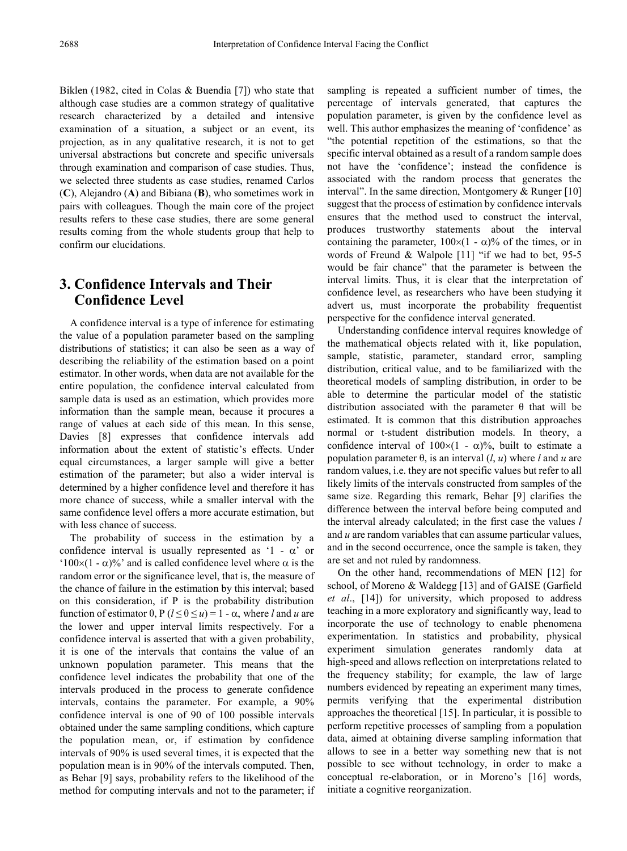Biklen (1982, cited in Colas & Buendia [7]) who state that although case studies are a common strategy of qualitative research characterized by a detailed and intensive examination of a situation, a subject or an event, its projection, as in any qualitative research, it is not to get universal abstractions but concrete and specific universals through examination and comparison of case studies. Thus, we selected three students as case studies, renamed Carlos (**C**), Alejandro (**A**) and Bibiana (**B**), who sometimes work in pairs with colleagues. Though the main core of the project results refers to these case studies, there are some general results coming from the whole students group that help to confirm our elucidations.

# **3. Confidence Intervals and Their Confidence Level**

A confidence interval is a type of inference for estimating the value of a population parameter based on the sampling distributions of statistics; it can also be seen as a way of describing the reliability of the estimation based on a point estimator. In other words, when data are not available for the entire population, the confidence interval calculated from sample data is used as an estimation, which provides more information than the sample mean, because it procures a range of values at each side of this mean. In this sense, Davies [8] expresses that confidence intervals add information about the extent of statistic's effects. Under equal circumstances, a larger sample will give a better estimation of the parameter; but also a wider interval is determined by a higher confidence level and therefore it has more chance of success, while a smaller interval with the same confidence level offers a more accurate estimation, but with less chance of success.

The probability of success in the estimation by a confidence interval is usually represented as '1 -  $\alpha$ ' or ' $100\times(1-\alpha)$ %' and is called confidence level where  $\alpha$  is the random error or the significance level, that is, the measure of the chance of failure in the estimation by this interval; based on this consideration, if P is the probability distribution function of estimator θ,  $P$  ( $l \le θ \le u$ ) = 1 - α, where *l* and *u* are the lower and upper interval limits respectively. For a confidence interval is asserted that with a given probability, it is one of the intervals that contains the value of an unknown population parameter. This means that the confidence level indicates the probability that one of the intervals produced in the process to generate confidence intervals, contains the parameter. For example, a 90% confidence interval is one of 90 of 100 possible intervals obtained under the same sampling conditions, which capture the population mean, or, if estimation by confidence intervals of 90% is used several times, it is expected that the population mean is in 90% of the intervals computed. Then, as Behar [9] says, probability refers to the likelihood of the method for computing intervals and not to the parameter; if

sampling is repeated a sufficient number of times, the percentage of intervals generated, that captures the population parameter, is given by the confidence level as well. This author emphasizes the meaning of 'confidence' as "the potential repetition of the estimations, so that the specific interval obtained as a result of a random sample does not have the 'confidence'; instead the confidence is associated with the random process that generates the interval". In the same direction, Montgomery & Runger [10] suggest that the process of estimation by confidence intervals ensures that the method used to construct the interval, produces trustworthy statements about the interval containing the parameter,  $100\times(1 - \alpha)\%$  of the times, or in words of Freund & Walpole [11] "if we had to bet, 95-5 would be fair chance" that the parameter is between the interval limits. Thus, it is clear that the interpretation of confidence level, as researchers who have been studying it advert us, must incorporate the probability frequentist perspective for the confidence interval generated.

Understanding confidence interval requires knowledge of the mathematical objects related with it, like population, sample, statistic, parameter, standard error, sampling distribution, critical value, and to be familiarized with the theoretical models of sampling distribution, in order to be able to determine the particular model of the statistic distribution associated with the parameter θ that will be estimated. It is common that this distribution approaches normal or t-student distribution models. In theory, a confidence interval of  $100\times(1 - \alpha)\%$ , built to estimate a population parameter θ, is an interval (*l*, *u*) where *l* and *u* are random values, i.e. they are not specific values but refer to all likely limits of the intervals constructed from samples of the same size. Regarding this remark, Behar [9] clarifies the difference between the interval before being computed and the interval already calculated; in the first case the values *l*  and *u* are random variables that can assume particular values, and in the second occurrence, once the sample is taken, they are set and not ruled by randomness.

On the other hand, recommendations of MEN [12] for school, of Moreno & Waldegg [13] and of GAISE (Garfield *et al*., [14]) for university, which proposed to address teaching in a more exploratory and significantly way, lead to incorporate the use of technology to enable phenomena experimentation. In statistics and probability, physical experiment simulation generates randomly data at high-speed and allows reflection on interpretations related to the frequency stability; for example, the law of large numbers evidenced by repeating an experiment many times, permits verifying that the experimental distribution approaches the theoretical [15]. In particular, it is possible to perform repetitive processes of sampling from a population data, aimed at obtaining diverse sampling information that allows to see in a better way something new that is not possible to see without technology, in order to make a conceptual re-elaboration, or in Moreno's [16] words, initiate a cognitive reorganization.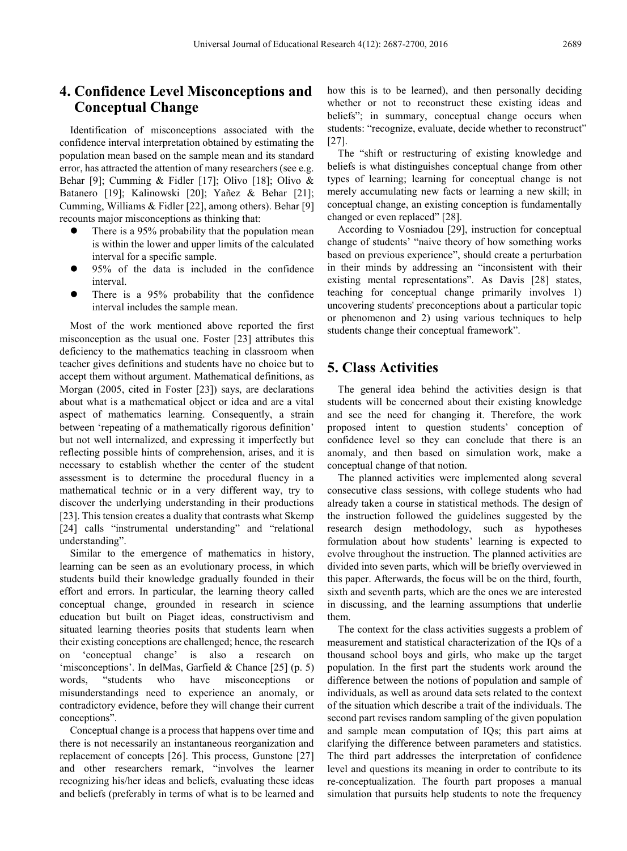# **4. Confidence Level Misconceptions and Conceptual Change**

Identification of misconceptions associated with the confidence interval interpretation obtained by estimating the population mean based on the sample mean and its standard error, has attracted the attention of many researchers (see e.g. Behar [9]; Cumming & Fidler [17]; Olivo [18]; Olivo & Batanero [19]; Kalinowski [20]; Yañez & Behar [21]; Cumming, Williams & Fidler [22], among others). Behar [9] recounts major misconceptions as thinking that:

- There is a 95% probability that the population mean is within the lower and upper limits of the calculated interval for a specific sample.
- 95% of the data is included in the confidence interval.
- There is a 95% probability that the confidence interval includes the sample mean.

Most of the work mentioned above reported the first misconception as the usual one. Foster [23] attributes this deficiency to the mathematics teaching in classroom when teacher gives definitions and students have no choice but to accept them without argument. Mathematical definitions, as Morgan (2005, cited in Foster [23]) says, are declarations about what is a mathematical object or idea and are a vital aspect of mathematics learning. Consequently, a strain between 'repeating of a mathematically rigorous definition' but not well internalized, and expressing it imperfectly but reflecting possible hints of comprehension, arises, and it is necessary to establish whether the center of the student assessment is to determine the procedural fluency in a mathematical technic or in a very different way, try to discover the underlying understanding in their productions [23]. This tension creates a duality that contrasts what Skemp [24] calls "instrumental understanding" and "relational understanding".

Similar to the emergence of mathematics in history, learning can be seen as an evolutionary process, in which students build their knowledge gradually founded in their effort and errors. In particular, the learning theory called conceptual change, grounded in research in science education but built on Piaget ideas, constructivism and situated learning theories posits that students learn when their existing conceptions are challenged; hence, the research on 'conceptual change' is also a research on 'misconceptions'. In delMas, Garfield & Chance [25] (p. 5) words, "students who have misconceptions or misunderstandings need to experience an anomaly, or contradictory evidence, before they will change their current conceptions".

Conceptual change is a process that happens over time and there is not necessarily an instantaneous reorganization and replacement of concepts [26]. This process, Gunstone [27] and other researchers remark, "involves the learner recognizing his/her ideas and beliefs, evaluating these ideas and beliefs (preferably in terms of what is to be learned and how this is to be learned), and then personally deciding whether or not to reconstruct these existing ideas and beliefs"; in summary, conceptual change occurs when students: "recognize, evaluate, decide whether to reconstruct" [27].

The "shift or restructuring of existing knowledge and beliefs is what distinguishes conceptual change from other types of learning; learning for conceptual change is not merely accumulating new facts or learning a new skill; in conceptual change, an existing conception is fundamentally changed or even replaced" [28].

According to Vosniadou [29], instruction for conceptual change of students' "naive theory of how something works based on previous experience", should create a perturbation in their minds by addressing an "inconsistent with their existing mental representations". As Davis [28] states, teaching for conceptual change primarily involves 1) uncovering students' preconceptions about a particular topic or phenomenon and 2) using various techniques to help students change their conceptual framework".

## **5. Class Activities**

The general idea behind the activities design is that students will be concerned about their existing knowledge and see the need for changing it. Therefore, the work proposed intent to question students' conception of confidence level so they can conclude that there is an anomaly, and then based on simulation work, make a conceptual change of that notion.

The planned activities were implemented along several consecutive class sessions, with college students who had already taken a course in statistical methods. The design of the instruction followed the guidelines suggested by the research design methodology, such as hypotheses formulation about how students' learning is expected to evolve throughout the instruction. The planned activities are divided into seven parts, which will be briefly overviewed in this paper. Afterwards, the focus will be on the third, fourth, sixth and seventh parts, which are the ones we are interested in discussing, and the learning assumptions that underlie them.

The context for the class activities suggests a problem of measurement and statistical characterization of the IQs of a thousand school boys and girls, who make up the target population. In the first part the students work around the difference between the notions of population and sample of individuals, as well as around data sets related to the context of the situation which describe a trait of the individuals. The second part revises random sampling of the given population and sample mean computation of IQs; this part aims at clarifying the difference between parameters and statistics. The third part addresses the interpretation of confidence level and questions its meaning in order to contribute to its re-conceptualization. The fourth part proposes a manual simulation that pursuits help students to note the frequency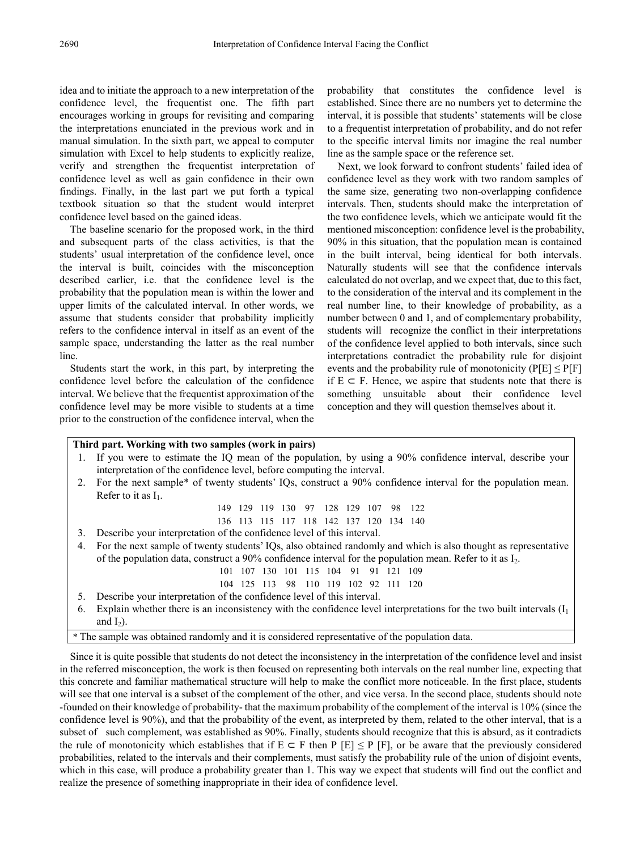idea and to initiate the approach to a new interpretation of the confidence level, the frequentist one. The fifth part encourages working in groups for revisiting and comparing the interpretations enunciated in the previous work and in manual simulation. In the sixth part, we appeal to computer simulation with Excel to help students to explicitly realize, verify and strengthen the frequentist interpretation of confidence level as well as gain confidence in their own findings. Finally, in the last part we put forth a typical textbook situation so that the student would interpret confidence level based on the gained ideas.

The baseline scenario for the proposed work, in the third and subsequent parts of the class activities, is that the students' usual interpretation of the confidence level, once the interval is built, coincides with the misconception described earlier, i.e. that the confidence level is the probability that the population mean is within the lower and upper limits of the calculated interval. In other words, we assume that students consider that probability implicitly refers to the confidence interval in itself as an event of the sample space, understanding the latter as the real number line.

Students start the work, in this part, by interpreting the confidence level before the calculation of the confidence interval. We believe that the frequentist approximation of the confidence level may be more visible to students at a time prior to the construction of the confidence interval, when the

probability that constitutes the confidence level is established. Since there are no numbers yet to determine the interval, it is possible that students' statements will be close to a frequentist interpretation of probability, and do not refer to the specific interval limits nor imagine the real number line as the sample space or the reference set.

Next, we look forward to confront students' failed idea of confidence level as they work with two random samples of the same size, generating two non-overlapping confidence intervals. Then, students should make the interpretation of the two confidence levels, which we anticipate would fit the mentioned misconception: confidence level is the probability, 90% in this situation, that the population mean is contained in the built interval, being identical for both intervals. Naturally students will see that the confidence intervals calculated do not overlap, and we expect that, due to this fact, to the consideration of the interval and its complement in the real number line, to their knowledge of probability, as a number between 0 and 1, and of complementary probability, students will recognize the conflict in their interpretations of the confidence level applied to both intervals, since such interpretations contradict the probability rule for disjoint events and the probability rule of monotonicity ( $P[E] \leq P[F]$ if  $E$  ⊂ F. Hence, we aspire that students note that there is something unsuitable about their confidence level conception and they will question themselves about it.

#### **Third part. Working with two samples (work in pairs)**

- 1. If you were to estimate the IQ mean of the population, by using a 90% confidence interval, describe your interpretation of the confidence level, before computing the interval. 2. For the next sample\* of twenty students' IQs, construct a 90% confidence interval for the population mean.
- Refer to it as  $I_1$ .

149 129 119 130 97 128 129 107 98 122

- 136 113 115 117 118 142 137 120 134 140
- 3. Describe your interpretation of the confidence level of this interval.
- 4. For the next sample of twenty students' IQs, also obtained randomly and which is also thought as representative of the population data, construct a 90% confidence interval for the population mean. Refer to it as I2.

101 107 130 101 115 104 91 91 121 109

- 104 125 113 98 110 119 102 92 111 120
- 5. Describe your interpretation of the confidence level of this interval.
- 6. Explain whether there is an inconsistency with the confidence level interpretations for the two built intervals  $(I_1)$ and  $I_2$ ).

\* The sample was obtained randomly and it is considered representative of the population data.

Since it is quite possible that students do not detect the inconsistency in the interpretation of the confidence level and insist in the referred misconception, the work is then focused on representing both intervals on the real number line, expecting that this concrete and familiar mathematical structure will help to make the conflict more noticeable. In the first place, students will see that one interval is a subset of the complement of the other, and vice versa. In the second place, students should note -founded on their knowledge of probability- that the maximum probability of the complement of the interval is 10% (since the confidence level is 90%), and that the probability of the event, as interpreted by them, related to the other interval, that is a subset of such complement, was established as 90%. Finally, students should recognize that this is absurd, as it contradicts the rule of monotonicity which establishes that if  $E \subseteq F$  then  $P [E] \leq P [F]$ , or be aware that the previously considered probabilities, related to the intervals and their complements, must satisfy the probability rule of the union of disjoint events, which in this case, will produce a probability greater than 1. This way we expect that students will find out the conflict and realize the presence of something inappropriate in their idea of confidence level.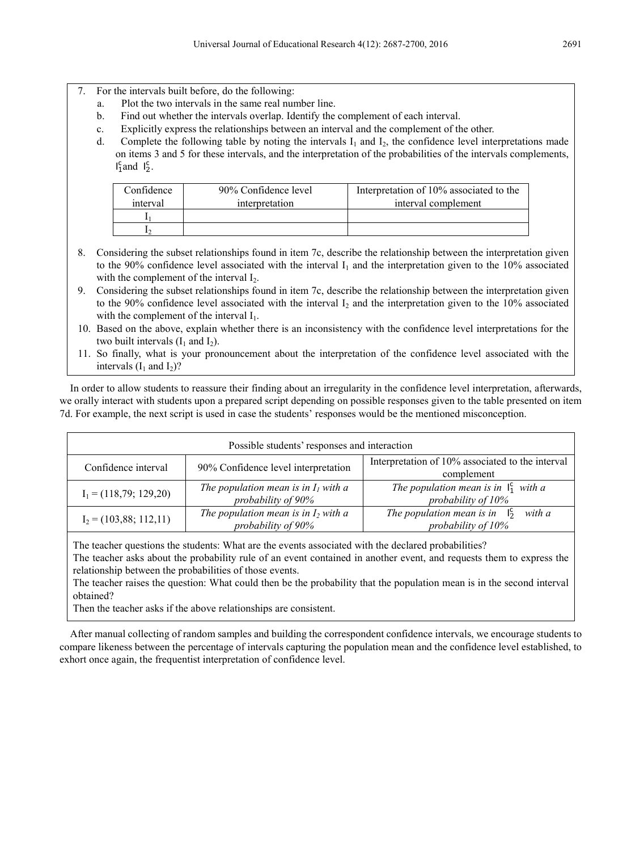- 7. For the intervals built before, do the following:
	- a. Plot the two intervals in the same real number line.
	- b. Find out whether the intervals overlap. Identify the complement of each interval.
	- c. Explicitly express the relationships between an interval and the complement of the other.
	- d. Complete the following table by noting the intervals  $I_1$  and  $I_2$ , the confidence level interpretations made on items 3 and 5 for these intervals, and the interpretation of the probabilities of the intervals complements,  $I_1^c$  and  $I_2^c$ .

| Confidence | 90% Confidence level | Interpretation of 10% associated to the |
|------------|----------------------|-----------------------------------------|
| interval   | interpretation       | interval complement                     |
|            |                      |                                         |
|            |                      |                                         |

- 8. Considering the subset relationships found in item 7c, describe the relationship between the interpretation given to the 90% confidence level associated with the interval  $I_1$  and the interpretation given to the 10% associated with the complement of the interval  $I_2$ .
- 9. Considering the subset relationships found in item 7c, describe the relationship between the interpretation given to the 90% confidence level associated with the interval  $I_2$  and the interpretation given to the 10% associated with the complement of the interval  $I_1$ .
- 10. Based on the above, explain whether there is an inconsistency with the confidence level interpretations for the two built intervals  $(I_1$  and  $I_2$ ).
- 11. So finally, what is your pronouncement about the interpretation of the confidence level associated with the intervals  $(I_1$  and  $I_2$ ?

In order to allow students to reassure their finding about an irregularity in the confidence level interpretation, afterwards, we orally interact with students upon a prepared script depending on possible responses given to the table presented on item 7d. For example, the next script is used in case the students' responses would be the mentioned misconception.

| Possible students' responses and interaction |                                                              |                                                                            |  |  |  |
|----------------------------------------------|--------------------------------------------------------------|----------------------------------------------------------------------------|--|--|--|
| Confidence interval                          | 90% Confidence level interpretation                          | Interpretation of 10% associated to the interval<br>complement             |  |  |  |
| $I_1 = (118, 79; 129, 20)$                   | The population mean is in $I_1$ with a<br>probability of 90% | The population mean is in $\vert_1^c$ with a<br>probability of 10%         |  |  |  |
| $I_2 = (103, 88; 112, 11)$                   | The population mean is in $I_2$ with a<br>probability of 90% | The population mean is in<br>with a<br>$\frac{1}{2}$<br>probability of 10% |  |  |  |

The teacher questions the students: What are the events associated with the declared probabilities?

The teacher asks about the probability rule of an event contained in another event, and requests them to express the relationship between the probabilities of those events.

The teacher raises the question: What could then be the probability that the population mean is in the second interval obtained?

Then the teacher asks if the above relationships are consistent.

After manual collecting of random samples and building the correspondent confidence intervals, we encourage students to compare likeness between the percentage of intervals capturing the population mean and the confidence level established, to exhort once again, the frequentist interpretation of confidence level.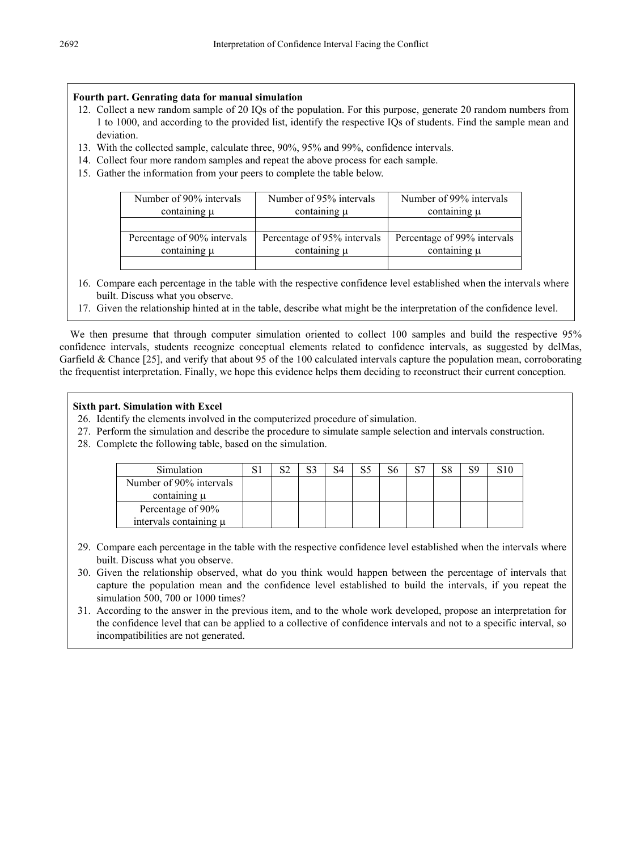## **Fourth part. Genrating data for manual simulation**

- 12. Collect a new random sample of 20 IQs of the population. For this purpose, generate 20 random numbers from 1 to 1000, and according to the provided list, identify the respective IQs of students. Find the sample mean and deviation.
- 13. With the collected sample, calculate three, 90%, 95% and 99%, confidence intervals.
- 14. Collect four more random samples and repeat the above process for each sample.
- 15. Gather the information from your peers to complete the table below.

| Number of 90% intervals     | Number of 95% intervals     | Number of 99% intervals     |  |  |
|-----------------------------|-----------------------------|-----------------------------|--|--|
| containing $\mu$            | containing $\mu$            | containing $\mu$            |  |  |
|                             |                             |                             |  |  |
| Percentage of 90% intervals | Percentage of 95% intervals | Percentage of 99% intervals |  |  |
| containing $\mu$            | containing $\mu$            | containing $\mu$            |  |  |
|                             |                             |                             |  |  |

- 16. Compare each percentage in the table with the respective confidence level established when the intervals where built. Discuss what you observe.
- 17. Given the relationship hinted at in the table, describe what might be the interpretation of the confidence level.

We then presume that through computer simulation oriented to collect 100 samples and build the respective 95% confidence intervals, students recognize conceptual elements related to confidence intervals, as suggested by delMas, Garfield & Chance [25], and verify that about 95 of the 100 calculated intervals capture the population mean, corroborating the frequentist interpretation. Finally, we hope this evidence helps them deciding to reconstruct their current conception.

## **Sixth part. Simulation with Excel**

- 26. Identify the elements involved in the computerized procedure of simulation.
- 27. Perform the simulation and describe the procedure to simulate sample selection and intervals construction.
- 28. Complete the following table, based on the simulation.

| Simulation                 | ຕ^ |  | St | oп | co |  |
|----------------------------|----|--|----|----|----|--|
| Number of 90% intervals    |    |  |    |    |    |  |
| containing $\mu$           |    |  |    |    |    |  |
| Percentage of 90%          |    |  |    |    |    |  |
| intervals containing $\mu$ |    |  |    |    |    |  |

- 29. Compare each percentage in the table with the respective confidence level established when the intervals where built. Discuss what you observe.
- 30. Given the relationship observed, what do you think would happen between the percentage of intervals that capture the population mean and the confidence level established to build the intervals, if you repeat the simulation 500, 700 or 1000 times?
- 31. According to the answer in the previous item, and to the whole work developed, propose an interpretation for the confidence level that can be applied to a collective of confidence intervals and not to a specific interval, so incompatibilities are not generated.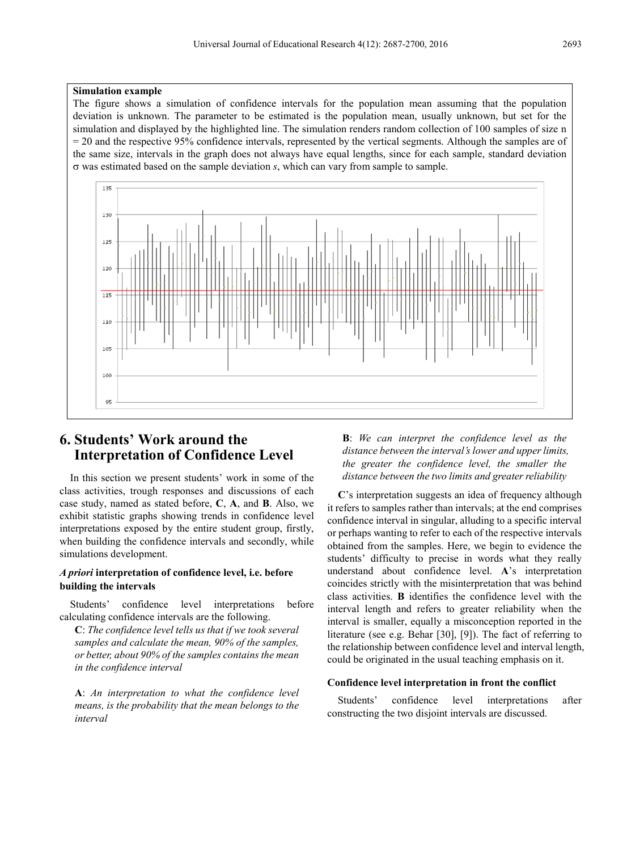#### **Simulation example**

The figure shows a simulation of confidence intervals for the population mean assuming that the population deviation is unknown. The parameter to be estimated is the population mean, usually unknown, but set for the simulation and displayed by the highlighted line. The simulation renders random collection of 100 samples of size n = 20 and the respective 95% confidence intervals, represented by the vertical segments. Although the samples are of the same size, intervals in the graph does not always have equal lengths, since for each sample, standard deviation σ was estimated based on the sample deviation *s*, which can vary from sample to sample.



## **6. Students' Work around the Interpretation of Confidence Level**

In this section we present students' work in some of the class activities, trough responses and discussions of each case study, named as stated before, **C**, **A**, and **B**. Also, we exhibit statistic graphs showing trends in confidence level interpretations exposed by the entire student group, firstly, when building the confidence intervals and secondly, while simulations development.

### *A priori* **interpretation of confidence level, i.e. before building the intervals**

Students' confidence level interpretations before calculating confidence intervals are the following.

**C**: *The confidence level tells us that if we took several samples and calculate the mean, 90% of the samples, or better, about 90% of the samples contains the mean in the confidence interval*

**A**: *An interpretation to what the confidence level means, is the probability that the mean belongs to the interval*

**B**: *We can interpret the confidence level as the distance between the interval's lower and upper limits, the greater the confidence level, the smaller the distance between the two limits and greater reliability*

**C**'s interpretation suggests an idea of frequency although it refers to samples rather than intervals; at the end comprises confidence interval in singular, alluding to a specific interval or perhaps wanting to refer to each of the respective intervals obtained from the samples. Here, we begin to evidence the students' difficulty to precise in words what they really understand about confidence level. **A**'s interpretation coincides strictly with the misinterpretation that was behind class activities. **B** identifies the confidence level with the interval length and refers to greater reliability when the interval is smaller, equally a misconception reported in the literature (see e.g. Behar [30], [9]). The fact of referring to the relationship between confidence level and interval length, could be originated in the usual teaching emphasis on it.

#### **Confidence level interpretation in front the conflict**

Students' confidence level interpretations after constructing the two disjoint intervals are discussed.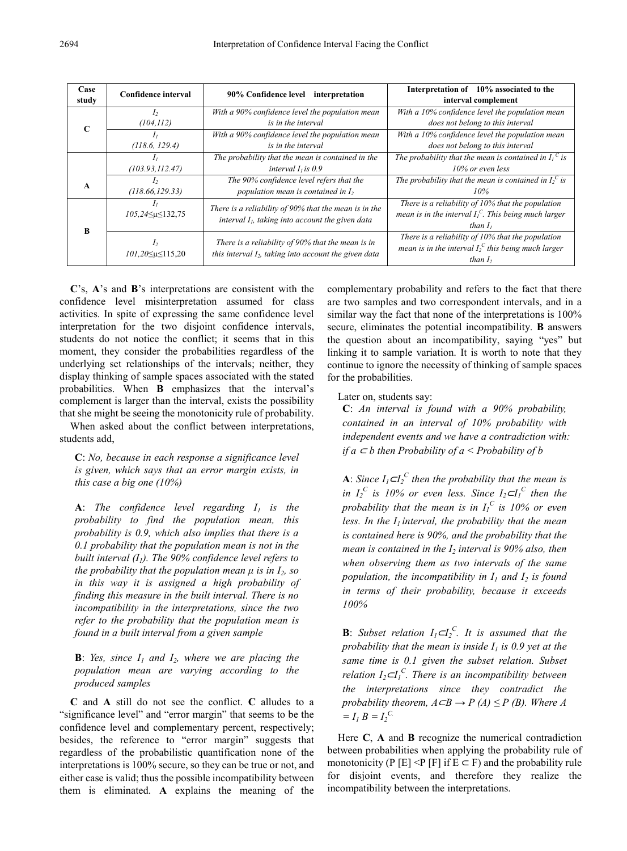| Case  | <b>Confidence interval</b>                      | 90% Confidence level                                                                                          | Interpretation of 10% associated to the                                                                                        |  |  |  |  |  |
|-------|-------------------------------------------------|---------------------------------------------------------------------------------------------------------------|--------------------------------------------------------------------------------------------------------------------------------|--|--|--|--|--|
| study |                                                 | interpretation                                                                                                | interval complement                                                                                                            |  |  |  |  |  |
| C     | I <sub>2</sub>                                  | With a 90% confidence level the population mean                                                               | With a 10% confidence level the population mean                                                                                |  |  |  |  |  |
|       | (104, 112)                                      | is in the interval                                                                                            | does not belong to this interval                                                                                               |  |  |  |  |  |
|       | (118.6, 129.4)                                  | With a 90% confidence level the population mean<br>is in the interval                                         | With a 10% confidence level the population mean<br>does not belong to this interval                                            |  |  |  |  |  |
|       | I <sub>I</sub>                                  | The probability that the mean is contained in the                                                             | The probability that the mean is contained in $I_1^C$ is                                                                       |  |  |  |  |  |
|       | (103.93, 112.47)                                | interval $I1$ is 0.9                                                                                          | 10% or even less                                                                                                               |  |  |  |  |  |
| A     | $\mathcal{L}$                                   | The 90% confidence level refers that the                                                                      | The probability that the mean is contained in $I_2^C$ is                                                                       |  |  |  |  |  |
|       | (118.66, 129.33)                                | population mean is contained in $I_2$                                                                         | 10%                                                                                                                            |  |  |  |  |  |
| B     | I <sub>I</sub><br>$105,24 \leq \mu \leq 132,75$ | There is a reliability of 90% that the mean is in the<br>interval $I_i$ , taking into account the given data  | There is a reliability of $10\%$ that the population<br>mean is in the interval $I_1^C$ . This being much larger<br>than $I_i$ |  |  |  |  |  |
|       | I <sub>2</sub><br>$101,20 \leq \mu \leq 115,20$ | There is a reliability of 90% that the mean is in<br>this interval $I_2$ , taking into account the given data | There is a reliability of 10% that the population<br>mean is in the interval $I_2^C$ this being much larger<br>than $I2$       |  |  |  |  |  |

**C**'s, **A**'s and **B**'s interpretations are consistent with the confidence level misinterpretation assumed for class activities. In spite of expressing the same confidence level interpretation for the two disjoint confidence intervals, students do not notice the conflict; it seems that in this moment, they consider the probabilities regardless of the underlying set relationships of the intervals; neither, they display thinking of sample spaces associated with the stated probabilities. When **B** emphasizes that the interval's complement is larger than the interval, exists the possibility that she might be seeing the monotonicity rule of probability.

When asked about the conflict between interpretations, students add,

**C**: *No, because in each response a significance level is given, which says that an error margin exists, in this case a big one (10%)*

**A**: *The confidence level regarding*  $I_1$  *is the probability to find the population mean, this probability is 0.9, which also implies that there is a 0.1 probability that the population mean is not in the built interval (I1). The 90% confidence level refers to the probability that the population mean μ is in I2, so in this way it is assigned a high probability of finding this measure in the built interval. There is no incompatibility in the interpretations, since the two refer to the probability that the population mean is found in a built interval from a given sample*

**B**: *Yes, since*  $I_1$  *and*  $I_2$ *, where we are placing the population mean are varying according to the produced samples*

**C** and **A** still do not see the conflict. **C** alludes to a "significance level" and "error margin" that seems to be the confidence level and complementary percent, respectively; besides, the reference to "error margin" suggests that regardless of the probabilistic quantification none of the interpretations is 100% secure, so they can be true or not, and either case is valid; thus the possible incompatibility between them is eliminated. **A** explains the meaning of the complementary probability and refers to the fact that there are two samples and two correspondent intervals, and in a similar way the fact that none of the interpretations is  $100\%$ secure, eliminates the potential incompatibility. **B** answers the question about an incompatibility, saying "yes" but linking it to sample variation. It is worth to note that they continue to ignore the necessity of thinking of sample spaces for the probabilities.

Later on, students say:

**C**: *An interval is found with a 90% probability, contained in an interval of 10% probability with independent events and we have a contradiction with: if a* <sup>⊂</sup> *b then Probability of a < Probability of b*

**A**: *Since*  $I_1 \subset I_2^C$  *then the probability that the mean is in*  $I_2^C$  *is 10% or even less. Since*  $I_2 \subset I_1^C$  *then the probability that the mean is in*  $I_I^C$  *is 10% or even* less. In the  $I_1$  interval, the probability that the mean *is contained here is 90%, and the probability that the mean is contained in the I<sub>2</sub> interval is 90% also, then when observing them as two intervals of the same population, the incompatibility in*  $I_1$  *and*  $I_2$  *is found in terms of their probability, because it exceeds 100%* 

**B**: *Subset relation*  $I_1 \subset I_2^C$ . *It is assumed that the probability that the mean is inside*  $I_1$  *is 0.9 yet at the same time is 0.1 given the subset relation. Subset relation I2*⊂*I1 C . There is an incompatibility between the interpretations since they contradict the probability theorem,*  $A \subseteq B \to P(A) \leq P(B)$ *. Where A*  $= I_1 B = I_2^C$ 

Here **C**, **A** and **B** recognize the numerical contradiction between probabilities when applying the probability rule of monotonicity (P [E] <P [F] if  $E \subset F$ ) and the probability rule for disjoint events, and therefore they realize the incompatibility between the interpretations.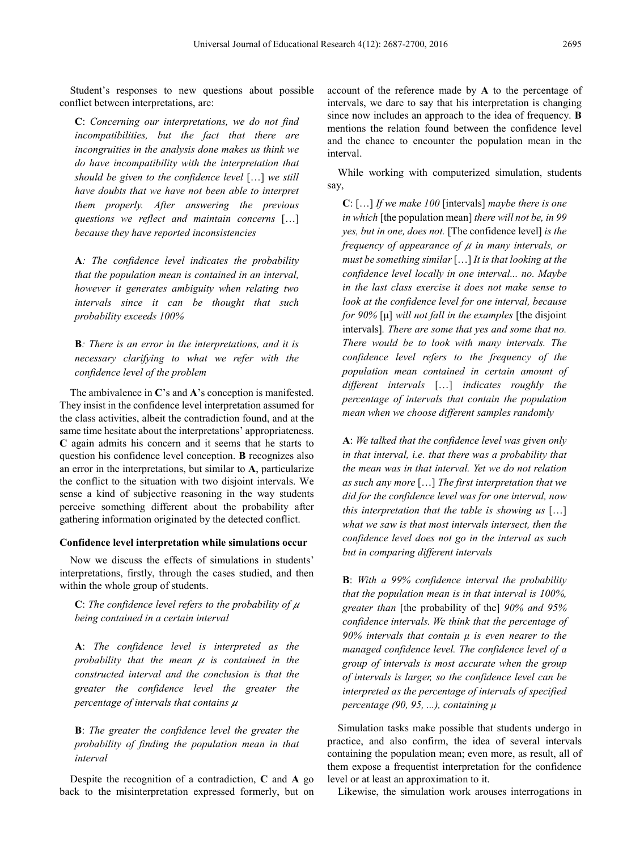Student's responses to new questions about possible conflict between interpretations, are:

**C**: *Concerning our interpretations, we do not find incompatibilities, but the fact that there are incongruities in the analysis done makes us think we do have incompatibility with the interpretation that should be given to the confidence level* […] *we still have doubts that we have not been able to interpret them properly. After answering the previous questions we reflect and maintain concerns* […] *because they have reported inconsistencies*

**A***: The confidence level indicates the probability that the population mean is contained in an interval, however it generates ambiguity when relating two intervals since it can be thought that such probability exceeds 100%*

**B***: There is an error in the interpretations, and it is necessary clarifying to what we refer with the confidence level of the problem*

The ambivalence in **C**'s and **A**'s conception is manifested. They insist in the confidence level interpretation assumed for the class activities, albeit the contradiction found, and at the same time hesitate about the interpretations' appropriateness. **C** again admits his concern and it seems that he starts to question his confidence level conception. **B** recognizes also an error in the interpretations, but similar to **A**, particularize the conflict to the situation with two disjoint intervals. We sense a kind of subjective reasoning in the way students perceive something different about the probability after gathering information originated by the detected conflict.

### **Confidence level interpretation while simulations occur**

Now we discuss the effects of simulations in students' interpretations, firstly, through the cases studied, and then within the whole group of students.

**C**: The confidence level refers to the probability of  $\mu$ *being contained in a certain interval*

**A**: *The confidence level is interpreted as the probability that the mean is contained in the constructed interval and the conclusion is that the greater the confidence level the greater the percentage of intervals that contains* 

**B**: *The greater the confidence level the greater the probability of finding the population mean in that interval*

Despite the recognition of a contradiction, **C** and **A** go back to the misinterpretation expressed formerly, but on

account of the reference made by **A** to the percentage of intervals, we dare to say that his interpretation is changing since now includes an approach to the idea of frequency. **B**  mentions the relation found between the confidence level and the chance to encounter the population mean in the interval.

While working with computerized simulation, students say,

**C**: […] *If we make 100* [intervals] *maybe there is one in which* [the population mean] *there will not be, in 99 yes, but in one, does not.* [The confidence level] *is the frequency of appearance of*  $\mu$  *in many intervals, or must be something similar* […] *It is that looking at the confidence level locally in one interval... no. Maybe in the last class exercise it does not make sense to look at the confidence level for one interval, because for 90%* [μ] *will not fall in the examples* [the disjoint intervals]*. There are some that yes and some that no. There would be to look with many intervals. The confidence level refers to the frequency of the population mean contained in certain amount of different intervals* […] *indicates roughly the percentage of intervals that contain the population mean when we choose different samples randomly*

**A**: *We talked that the confidence level was given only in that interval, i.e. that there was a probability that the mean was in that interval. Yet we do not relation as such any more* […] *The first interpretation that we did for the confidence level was for one interval, now this interpretation that the table is showing us* […] *what we saw is that most intervals intersect, then the confidence level does not go in the interval as such but in comparing different intervals*

**B**: *With a 99% confidence interval the probability that the population mean is in that interval is 100%, greater than* [the probability of the] *90% and 95% confidence intervals. We think that the percentage of 90% intervals that contain μ is even nearer to the managed confidence level. The confidence level of a group of intervals is most accurate when the group of intervals is larger, so the confidence level can be interpreted as the percentage of intervals of specified percentage (90, 95, ...), containing μ*

Simulation tasks make possible that students undergo in practice, and also confirm, the idea of several intervals containing the population mean; even more, as result, all of them expose a frequentist interpretation for the confidence level or at least an approximation to it.

Likewise, the simulation work arouses interrogations in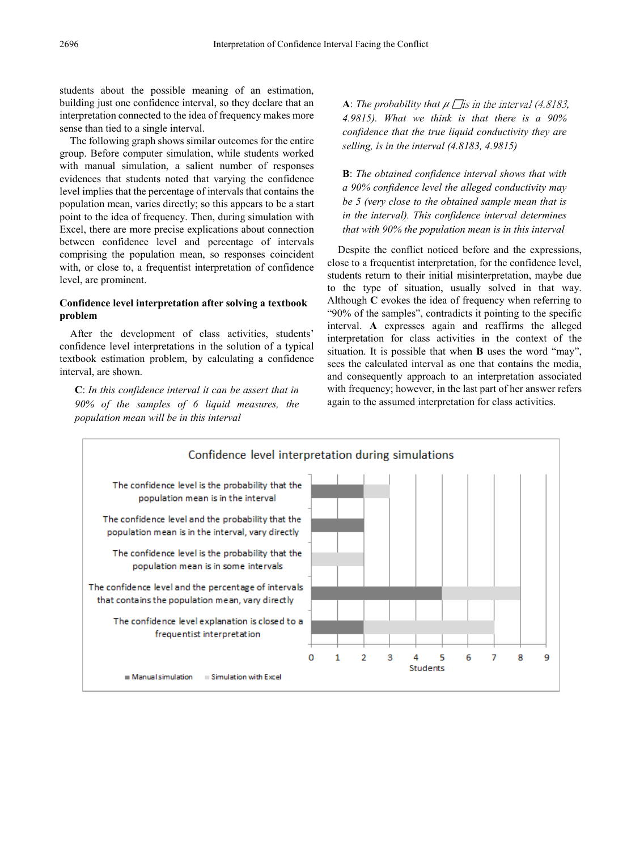students about the possible meaning of an estimation, building just one confidence interval, so they declare that an interpretation connected to the idea of frequency makes more sense than tied to a single interval.

The following graph shows similar outcomes for the entire group. Before computer simulation, while students worked with manual simulation, a salient number of responses evidences that students noted that varying the confidence level implies that the percentage of intervals that contains the population mean, varies directly; so this appears to be a start point to the idea of frequency. Then, during simulation with Excel, there are more precise explications about connection between confidence level and percentage of intervals comprising the population mean, so responses coincident with, or close to, a frequentist interpretation of confidence level, are prominent.

#### **Confidence level interpretation after solving a textbook problem**

After the development of class activities, students' confidence level interpretations in the solution of a typical textbook estimation problem, by calculating a confidence interval, are shown.

**C**: *In this confidence interval it can be assert that in 90% of the samples of 6 liquid measures, the population mean will be in this interval*

**A**: The probability that  $\mu$   $\Box$  is in the interval (4.8183, *4.9815). What we think is that there is a 90% confidence that the true liquid conductivity they are selling, is in the interval (4.8183, 4.9815)*

**B**: *The obtained confidence interval shows that with a 90% confidence level the alleged conductivity may be 5 (very close to the obtained sample mean that is in the interval). This confidence interval determines that with 90% the population mean is in this interval*

Despite the conflict noticed before and the expressions, close to a frequentist interpretation, for the confidence level, students return to their initial misinterpretation, maybe due to the type of situation, usually solved in that way. Although **C** evokes the idea of frequency when referring to "90% of the samples", contradicts it pointing to the specific interval. **A** expresses again and reaffirms the alleged interpretation for class activities in the context of the situation. It is possible that when **B** uses the word "may", sees the calculated interval as one that contains the media, and consequently approach to an interpretation associated with frequency; however, in the last part of her answer refers again to the assumed interpretation for class activities.

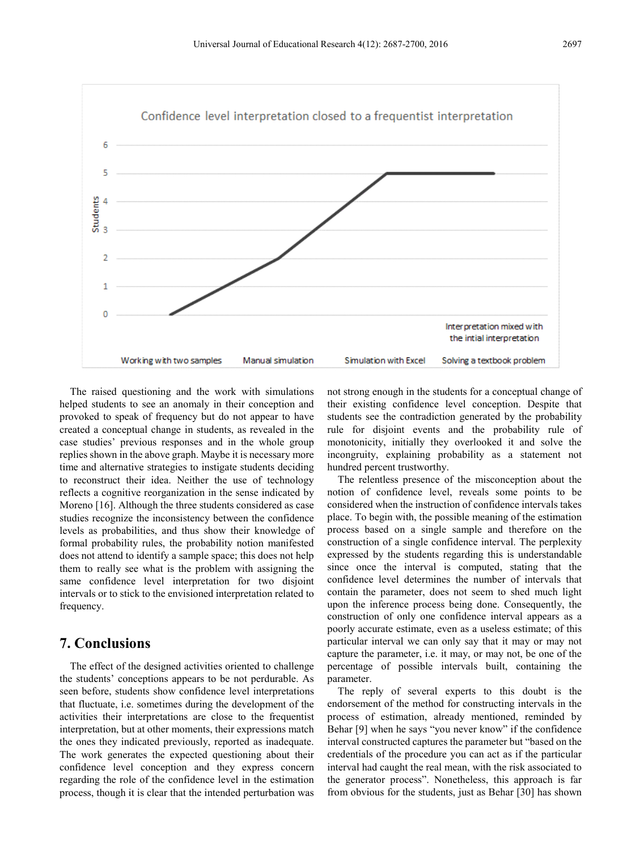

The raised questioning and the work with simulations helped students to see an anomaly in their conception and provoked to speak of frequency but do not appear to have created a conceptual change in students, as revealed in the case studies' previous responses and in the whole group replies shown in the above graph. Maybe it is necessary more time and alternative strategies to instigate students deciding to reconstruct their idea. Neither the use of technology reflects a cognitive reorganization in the sense indicated by Moreno [16]. Although the three students considered as case studies recognize the inconsistency between the confidence levels as probabilities, and thus show their knowledge of formal probability rules, the probability notion manifested does not attend to identify a sample space; this does not help them to really see what is the problem with assigning the same confidence level interpretation for two disjoint intervals or to stick to the envisioned interpretation related to frequency.

# **7. Conclusions**

The effect of the designed activities oriented to challenge the students' conceptions appears to be not perdurable. As seen before, students show confidence level interpretations that fluctuate, i.e. sometimes during the development of the activities their interpretations are close to the frequentist interpretation, but at other moments, their expressions match the ones they indicated previously, reported as inadequate. The work generates the expected questioning about their confidence level conception and they express concern regarding the role of the confidence level in the estimation process, though it is clear that the intended perturbation was

not strong enough in the students for a conceptual change of their existing confidence level conception. Despite that students see the contradiction generated by the probability rule for disjoint events and the probability rule of monotonicity, initially they overlooked it and solve the incongruity, explaining probability as a statement not hundred percent trustworthy.

The relentless presence of the misconception about the notion of confidence level, reveals some points to be considered when the instruction of confidence intervals takes place. To begin with, the possible meaning of the estimation process based on a single sample and therefore on the construction of a single confidence interval. The perplexity expressed by the students regarding this is understandable since once the interval is computed, stating that the confidence level determines the number of intervals that contain the parameter, does not seem to shed much light upon the inference process being done. Consequently, the construction of only one confidence interval appears as a poorly accurate estimate, even as a useless estimate; of this particular interval we can only say that it may or may not capture the parameter, i.e. it may, or may not, be one of the percentage of possible intervals built, containing the parameter.

The reply of several experts to this doubt is the endorsement of the method for constructing intervals in the process of estimation, already mentioned, reminded by Behar [9] when he says "you never know" if the confidence interval constructed captures the parameter but "based on the credentials of the procedure you can act as if the particular interval had caught the real mean, with the risk associated to the generator process". Nonetheless, this approach is far from obvious for the students, just as Behar [30] has shown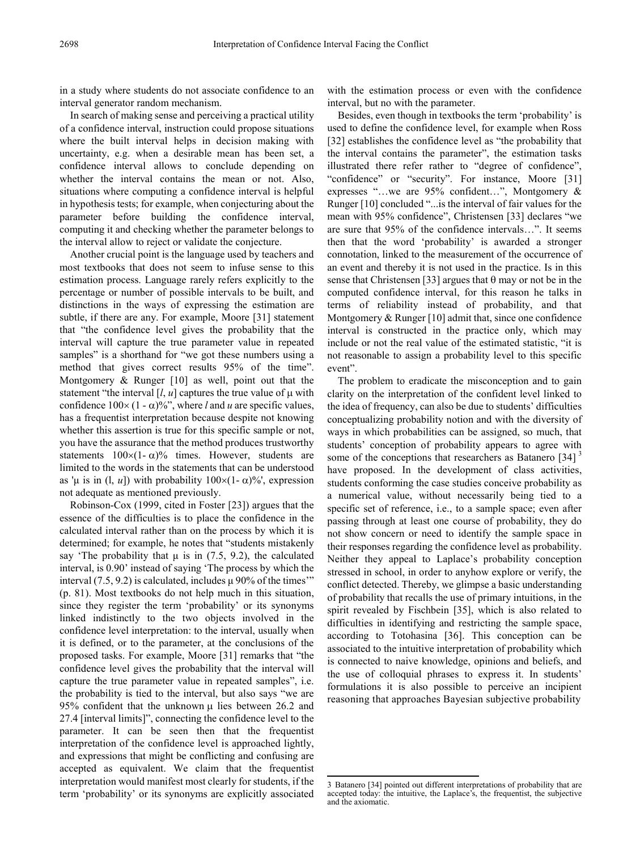in a study where students do not associate confidence to an interval generator random mechanism.

In search of making sense and perceiving a practical utility of a confidence interval, instruction could propose situations where the built interval helps in decision making with uncertainty, e.g. when a desirable mean has been set, a confidence interval allows to conclude depending on whether the interval contains the mean or not. Also, situations where computing a confidence interval is helpful in hypothesis tests; for example, when conjecturing about the parameter before building the confidence interval, computing it and checking whether the parameter belongs to the interval allow to reject or validate the conjecture.

Another crucial point is the language used by teachers and most textbooks that does not seem to infuse sense to this estimation process. Language rarely refers explicitly to the percentage or number of possible intervals to be built, and distinctions in the ways of expressing the estimation are subtle, if there are any. For example, Moore [31] statement that "the confidence level gives the probability that the interval will capture the true parameter value in repeated samples" is a shorthand for "we got these numbers using a method that gives correct results 95% of the time". Montgomery & Runger [10] as well, point out that the statement "the interval  $[l, u]$  captures the true value of  $\mu$  with confidence  $100 \times (1 - \alpha)\%$ ", where *l* and *u* are specific values, has a frequentist interpretation because despite not knowing whether this assertion is true for this specific sample or not, you have the assurance that the method produces trustworthy statements  $100\times(1-\alpha)\%$  times. However, students are limited to the words in the statements that can be understood as 'μ is in (l, *u*]) with probability  $100 \times (1-\alpha)\%$ ', expression not adequate as mentioned previously.

<span id="page-11-0"></span>Robinson-Cox (1999, cited in Foster [23]) argues that the essence of the difficulties is to place the confidence in the calculated interval rather than on the process by which it is determined; for example, he notes that "students mistakenly say 'The probability that  $\mu$  is in (7.5, 9.2), the calculated interval, is 0.90' instead of saying 'The process by which the interval (7.5, 9.2) is calculated, includes μ 90% of the times'" (p. 81). Most textbooks do not help much in this situation, since they register the term 'probability' or its synonyms linked indistinctly to the two objects involved in the confidence level interpretation: to the interval, usually when it is defined, or to the parameter, at the conclusions of the proposed tasks. For example, Moore [31] remarks that "the confidence level gives the probability that the interval will capture the true parameter value in repeated samples", i.e. the probability is tied to the interval, but also says "we are 95% confident that the unknown  $\mu$  lies between 26.2 and 27.4 [interval limits]", connecting the confidence level to the parameter. It can be seen then that the frequentist interpretation of the confidence level is approached lightly, and expressions that might be conflicting and confusing are accepted as equivalent. We claim that the frequentist interpretation would manifest most clearly for students, if the term 'probability' or its synonyms are explicitly associated with the estimation process or even with the confidence interval, but no with the parameter.

Besides, even though in textbooks the term 'probability' is used to define the confidence level, for example when Ross [32] establishes the confidence level as "the probability that the interval contains the parameter", the estimation tasks illustrated there refer rather to "degree of confidence", "confidence" or "security". For instance, Moore [31] expresses "…we are 95% confident…", Montgomery & Runger [10] concluded "...is the interval of fair values for the mean with 95% confidence", Christensen [33] declares "we are sure that 95% of the confidence intervals…". It seems then that the word 'probability' is awarded a stronger connotation, linked to the measurement of the occurrence of an event and thereby it is not used in the practice. Is in this sense that Christensen [33] argues that  $\theta$  may or not be in the computed confidence interval, for this reason he talks in terms of reliability instead of probability, and that Montgomery & Runger [10] admit that, since one confidence interval is constructed in the practice only, which may include or not the real value of the estimated statistic, "it is not reasonable to assign a probability level to this specific event".

The problem to eradicate the misconception and to gain clarity on the interpretation of the confident level linked to the idea of frequency, can also be due to students' difficulties conceptualizing probability notion and with the diversity of ways in which probabilities can be assigned, so much, that students' conception of probability appears to agree with some of the conceptions that researchers as Batanero  $\left[34\right]$  $\left[34\right]$  $\left[34\right]$ <sup>3</sup> have proposed. In the development of class activities, students conforming the case studies conceive probability as a numerical value, without necessarily being tied to a specific set of reference, i.e., to a sample space; even after passing through at least one course of probability, they do not show concern or need to identify the sample space in their responses regarding the confidence level as probability. Neither they appeal to Laplace's probability conception stressed in school, in order to anyhow explore or verify, the conflict detected. Thereby, we glimpse a basic understanding of probability that recalls the use of primary intuitions, in the spirit revealed by Fischbein [35], which is also related to difficulties in identifying and restricting the sample space, according to Totohasina [36]. This conception can be associated to the intuitive interpretation of probability which is connected to naive knowledge, opinions and beliefs, and the use of colloquial phrases to express it. In students' formulations it is also possible to perceive an incipient reasoning that approaches Bayesian subjective probability

<sup>3</sup> Batanero [34] pointed out different interpretations of probability that are accepted today: the intuitive, the Laplace's, the frequentist, the subjective and the axiomatic. **.**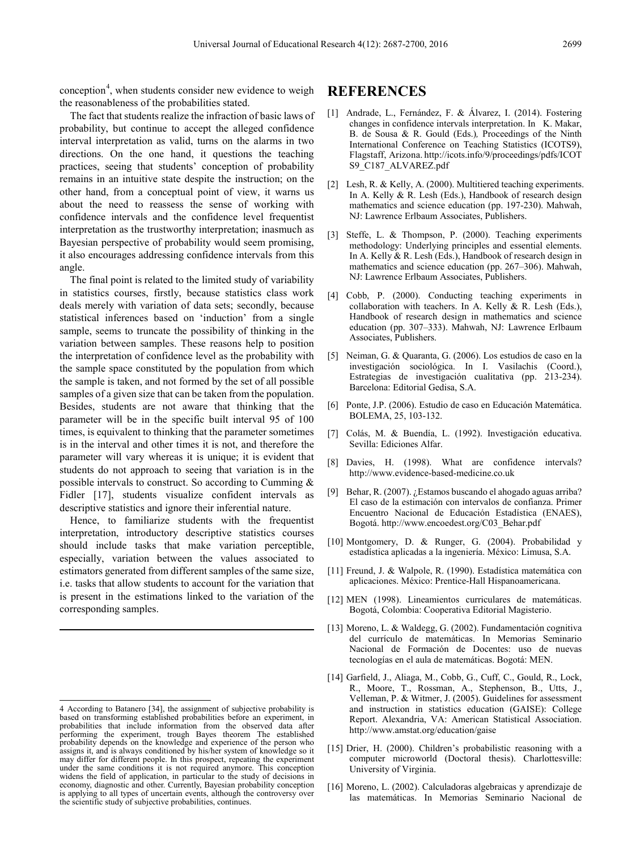conception<sup>[4](#page-12-0)</sup>, when students consider new evidence to weigh the reasonableness of the probabilities stated.

The fact that students realize the infraction of basic laws of probability, but continue to accept the alleged confidence interval interpretation as valid, turns on the alarms in two directions. On the one hand, it questions the teaching practices, seeing that students' conception of probability remains in an intuitive state despite the instruction; on the other hand, from a conceptual point of view, it warns us about the need to reassess the sense of working with confidence intervals and the confidence level frequentist interpretation as the trustworthy interpretation; inasmuch as Bayesian perspective of probability would seem promising, it also encourages addressing confidence intervals from this angle.

The final point is related to the limited study of variability in statistics courses, firstly, because statistics class work deals merely with variation of data sets; secondly, because statistical inferences based on 'induction' from a single sample, seems to truncate the possibility of thinking in the variation between samples. These reasons help to position the interpretation of confidence level as the probability with the sample space constituted by the population from which the sample is taken, and not formed by the set of all possible samples of a given size that can be taken from the population. Besides, students are not aware that thinking that the parameter will be in the specific built interval 95 of 100 times, is equivalent to thinking that the parameter sometimes is in the interval and other times it is not, and therefore the parameter will vary whereas it is unique; it is evident that students do not approach to seeing that variation is in the possible intervals to construct. So according to Cumming & Fidler [17], students visualize confident intervals as descriptive statistics and ignore their inferential nature.

Hence, to familiarize students with the frequentist interpretation, introductory descriptive statistics courses should include tasks that make variation perceptible, especially, variation between the values associated to estimators generated from different samples of the same size, i.e. tasks that allow students to account for the variation that is present in the estimations linked to the variation of the corresponding samples.

## **REFERENCES**

- [1] Andrade, L., Fernández, F. & Álvarez, I. (2014). Fostering changes in confidence intervals interpretation. In K. Makar, B. de Sousa & R. Gould (Eds.)*,* Proceedings of the Ninth International Conference on Teaching Statistics (ICOTS9), Flagstaff, Arizona. http://icots.info/9/proceedings/pdfs/ICOT S9\_C187\_ALVAREZ.pdf
- [2] Lesh, R. & Kelly, A. (2000). Multitiered teaching experiments. In A. Kelly & R. Lesh (Eds.), Handbook of research design mathematics and science education (pp. 197-230). Mahwah, NJ: Lawrence Erlbaum Associates, Publishers.
- [3] Steffe, L. & Thompson, P. (2000). Teaching experiments methodology: Underlying principles and essential elements. In A. Kelly & R. Lesh (Eds.), Handbook of research design in mathematics and science education (pp. 267–306). Mahwah, NJ: Lawrence Erlbaum Associates, Publishers.
- [4] Cobb, P. (2000). Conducting teaching experiments in collaboration with teachers. In A. Kelly  $\&$  R. Lesh (Eds.), Handbook of research design in mathematics and science education (pp. 307–333). Mahwah, NJ: Lawrence Erlbaum Associates, Publishers.
- [5] Neiman, G. & Quaranta, G. (2006). Los estudios de caso en la investigación sociológica. In I. Vasilachis (Coord.), Estrategias de investigación cualitativa (pp. 213-234). Barcelona: Editorial Gedisa, S.A.
- [6] Ponte, J.P. (2006). Estudio de caso en Educación Matemática. BOLEMA, 25, 103-132.
- [7] Colás, M. & Buendía, L. (1992). Investigación educativa. Sevilla: Ediciones Alfar.
- [8] Davies, H. (1998). What are confidence intervals? http://www.evidence-based-medicine.co.uk
- [9] Behar, R. (2007). ¿Estamos buscando el ahogado aguas arriba? El caso de la estimación con intervalos de confianza. Primer Encuentro Nacional de Educación Estadística (ENAES), Bogotá. http://www.encoedest.org/C03\_Behar.pdf
- [10] Montgomery, D. & Runger, G. (2004). Probabilidad y estadística aplicadas a la ingeniería. México: Limusa, S.A.
- [11] Freund, J. & Walpole, R. (1990). Estadística matemática con aplicaciones. México: Prentice-Hall Hispanoamericana.
- [12] MEN (1998). Lineamientos curriculares de matemáticas. Bogotá, Colombia: Cooperativa Editorial Magisterio.
- [13] Moreno, L. & Waldegg, G. (2002). Fundamentación cognitiva del currículo de matemáticas. In Memorias Seminario Nacional de Formación de Docentes: uso de nuevas tecnologías en el aula de matemáticas. Bogotá: MEN.
- [14] Garfield, J., Aliaga, M., Cobb, G., Cuff, C., Gould, R., Lock, R., Moore, T., Rossman, A., Stephenson, B., Utts, J., Velleman, P. & Witmer, J. (2005). Guidelines for assessment and instruction in statistics education (GAISE): College Report. Alexandria, VA: American Statistical Association. http://www.amstat.org/education/gaise
- [15] Drier, H. (2000). Children's probabilistic reasoning with a computer microworld (Doctoral thesis). Charlottesville: University of Virginia.
- [16] Moreno, L. (2002). Calculadoras algebraicas y aprendizaje de las matemáticas. In Memorias Seminario Nacional de

<span id="page-12-0"></span><sup>4</sup> According to Batanero [34], the assignment of subjective probability is based on transforming established probabilities before an experiment, in probabilities that include information from the observed data after performing the experiment, trough Bayes theorem The established probability depends on the knowledge and experience of the person who assigns it, and is always conditioned by his/her system of knowledge so it may differ for different people. In this prospect, repeating the experiment under the same conditions it is not required anymore. This conception widens the field of application, in particular to the study of decisions in economy, diagnostic and other. Currently, Bayesian probability conception is applying to all types of uncertain events, although the controversy over the scientific study of subjective probabilities, continues. **.**